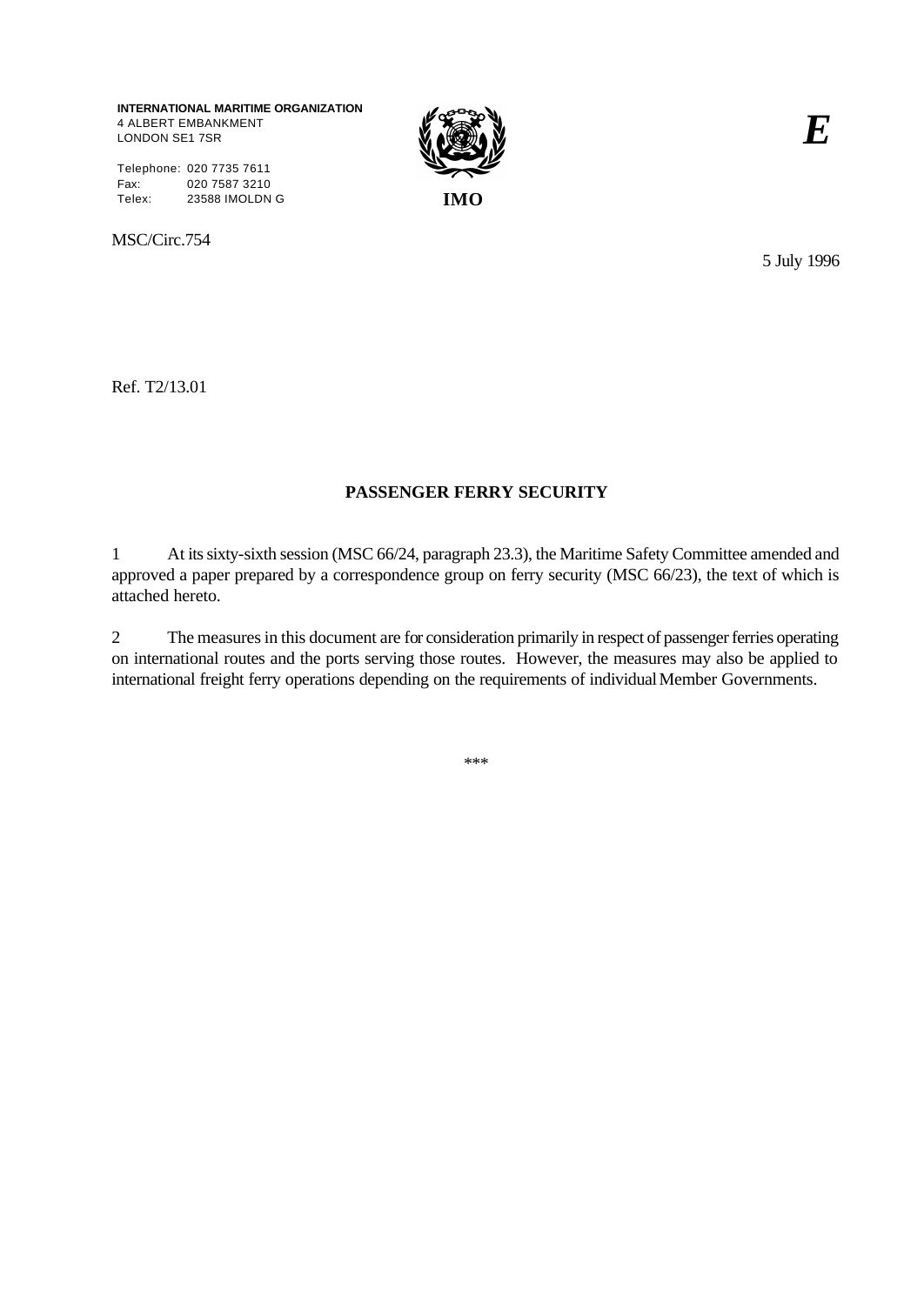**INTERNATIONAL MARITIME ORGANIZATION** 4 ALBERT EMBANKMENT LONDON SE1 7SR

Telephone: 020 7735 7611 Fax: 020 7587 3210 Telex: 23588 IMOLDN G **IMO**

MSC/Circ.754



*E*

5 July 1996

Ref. T2/13.01

## **PASSENGER FERRY SECURITY**

1 At its sixty-sixth session (MSC 66/24, paragraph 23.3), the Maritime Safety Committee amended and approved a paper prepared by a correspondence group on ferry security (MSC 66/23), the text of which is attached hereto.

2 The measures in this document are for consideration primarily in respect of passenger ferries operating on international routes and the ports serving those routes. However, the measures may also be applied to international freight ferry operations depending on the requirements of individual Member Governments.

\*\*\*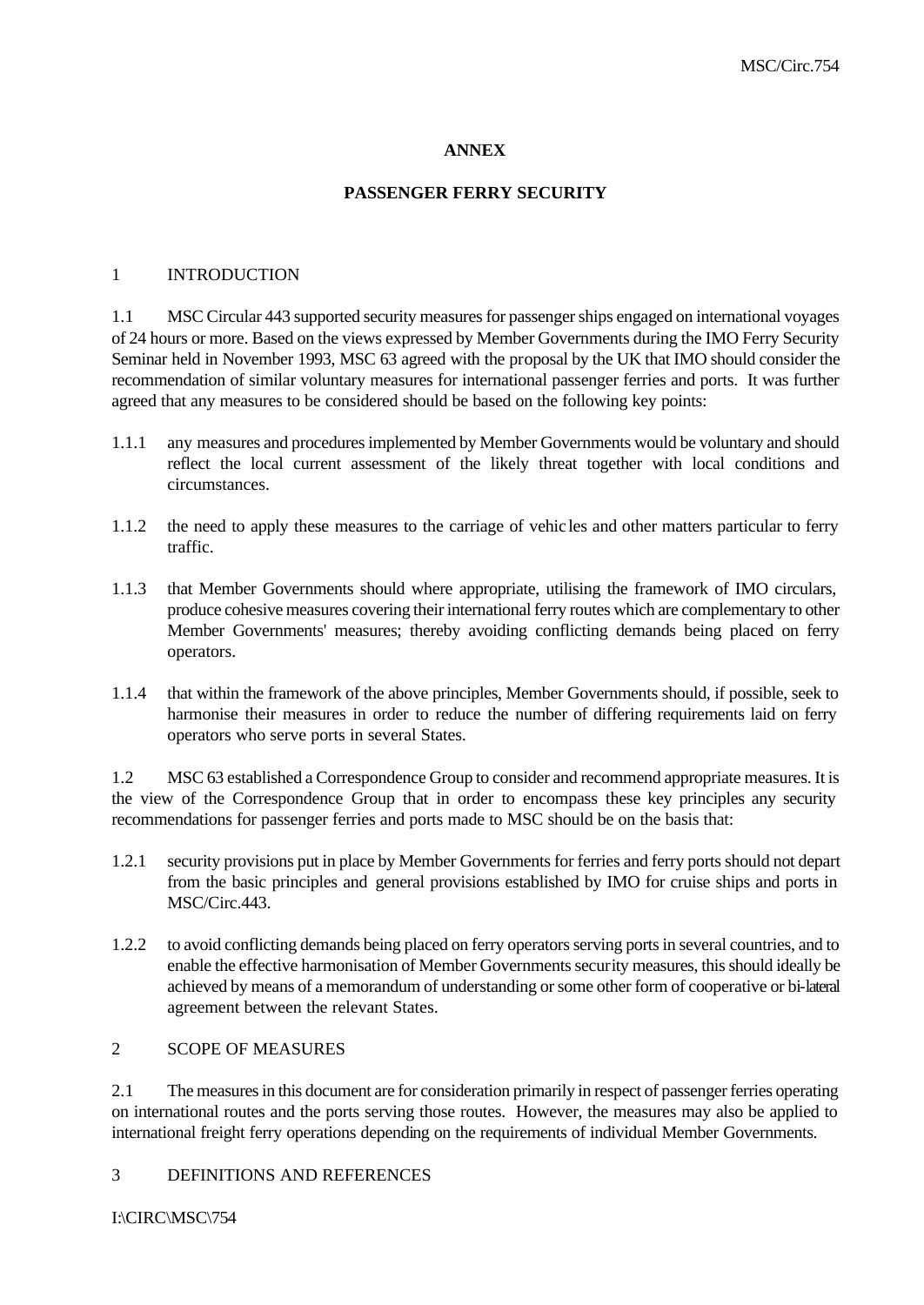## **ANNEX**

# **PASSENGER FERRY SECURITY**

### 1 INTRODUCTION

1.1 MSC Circular 443 supported security measures for passenger ships engaged on international voyages of 24 hours or more. Based on the views expressed by Member Governments during the IMO Ferry Security Seminar held in November 1993, MSC 63 agreed with the proposal by the UK that IMO should consider the recommendation of similar voluntary measures for international passenger ferries and ports. It was further agreed that any measures to be considered should be based on the following key points:

- 1.1.1 any measures and procedures implemented by Member Governments would be voluntary and should reflect the local current assessment of the likely threat together with local conditions and circumstances.
- 1.1.2 the need to apply these measures to the carriage of vehic les and other matters particular to ferry traffic.
- 1.1.3 that Member Governments should where appropriate, utilising the framework of IMO circulars, produce cohesive measures covering their international ferry routes which are complementary to other Member Governments' measures; thereby avoiding conflicting demands being placed on ferry operators.
- 1.1.4 that within the framework of the above principles, Member Governments should, if possible, seek to harmonise their measures in order to reduce the number of differing requirements laid on ferry operators who serve ports in several States.

1.2 MSC 63 established a Correspondence Group to consider and recommend appropriate measures. It is the view of the Correspondence Group that in order to encompass these key principles any security recommendations for passenger ferries and ports made to MSC should be on the basis that:

- 1.2.1 security provisions put in place by Member Governments for ferries and ferry ports should not depart from the basic principles and general provisions established by IMO for cruise ships and ports in MSC/Circ.443.
- 1.2.2 to avoid conflicting demands being placed on ferry operators serving ports in several countries, and to enable the effective harmonisation of Member Governments security measures, this should ideally be achieved by means of a memorandum of understanding or some other form of cooperative or bi-lateral agreement between the relevant States.

### 2 SCOPE OF MEASURES

2.1 The measures in this document are for consideration primarily in respect of passenger ferries operating on international routes and the ports serving those routes. However, the measures may also be applied to international freight ferry operations depending on the requirements of individual Member Governments.

### 3 DEFINITIONS AND REFERENCES

I:\CIRC\MSC\754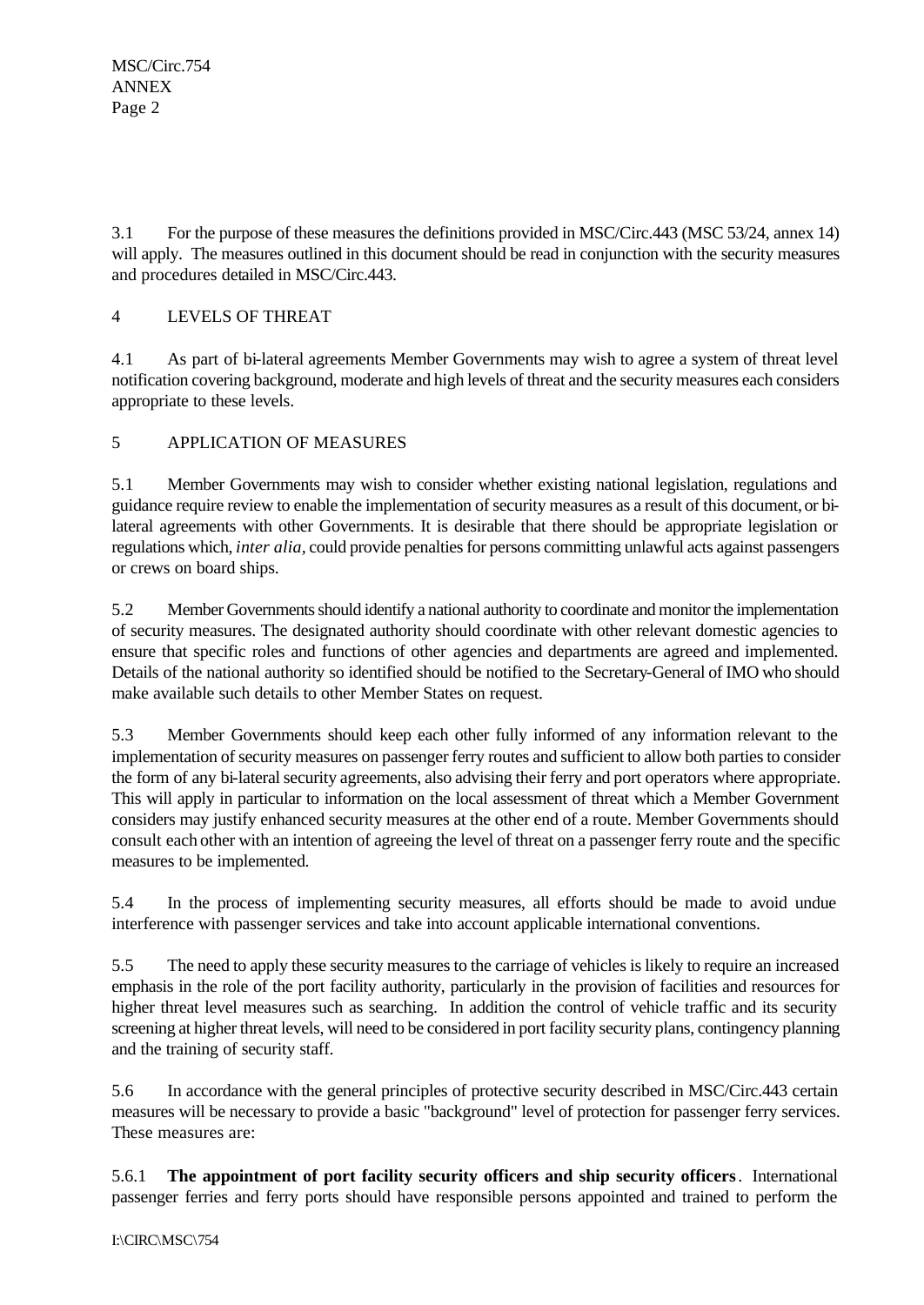3.1 For the purpose of these measures the definitions provided in MSC/Circ.443 (MSC 53/24, annex 14) will apply. The measures outlined in this document should be read in conjunction with the security measures and procedures detailed in MSC/Circ.443.

# 4 LEVELS OF THREAT

4.1 As part of bi-lateral agreements Member Governments may wish to agree a system of threat level notification covering background, moderate and high levels of threat and the security measures each considers appropriate to these levels.

5 APPLICATION OF MEASURES

5.1 Member Governments may wish to consider whether existing national legislation, regulations and guidance require review to enable the implementation of security measures as a result of this document, or bilateral agreements with other Governments. It is desirable that there should be appropriate legislation or regulations which, *inter alia,* could provide penalties for persons committing unlawful acts against passengers or crews on board ships.

5.2 Member Governments should identify a national authority to coordinate and monitor the implementation of security measures. The designated authority should coordinate with other relevant domestic agencies to ensure that specific roles and functions of other agencies and departments are agreed and implemented. Details of the national authority so identified should be notified to the Secretary-General of IMO who should make available such details to other Member States on request.

5.3 Member Governments should keep each other fully informed of any information relevant to the implementation of security measures on passenger ferry routes and sufficient to allow both parties to consider the form of any bi-lateral security agreements, also advising their ferry and port operators where appropriate. This will apply in particular to information on the local assessment of threat which a Member Government considers may justify enhanced security measures at the other end of a route. Member Governments should consult each other with an intention of agreeing the level of threat on a passenger ferry route and the specific measures to be implemented.

5.4 In the process of implementing security measures, all efforts should be made to avoid undue interference with passenger services and take into account applicable international conventions.

5.5 The need to apply these security measures to the carriage of vehicles is likely to require an increased emphasis in the role of the port facility authority, particularly in the provision of facilities and resources for higher threat level measures such as searching. In addition the control of vehicle traffic and its security screening at higher threat levels, will need to be considered in port facility security plans, contingency planning and the training of security staff.

5.6 In accordance with the general principles of protective security described in MSC/Circ.443 certain measures will be necessary to provide a basic "background" level of protection for passenger ferry services. These measures are:

5.6.1 **The appointment of port facility security officers and ship security officers**. International passenger ferries and ferry ports should have responsible persons appointed and trained to perform the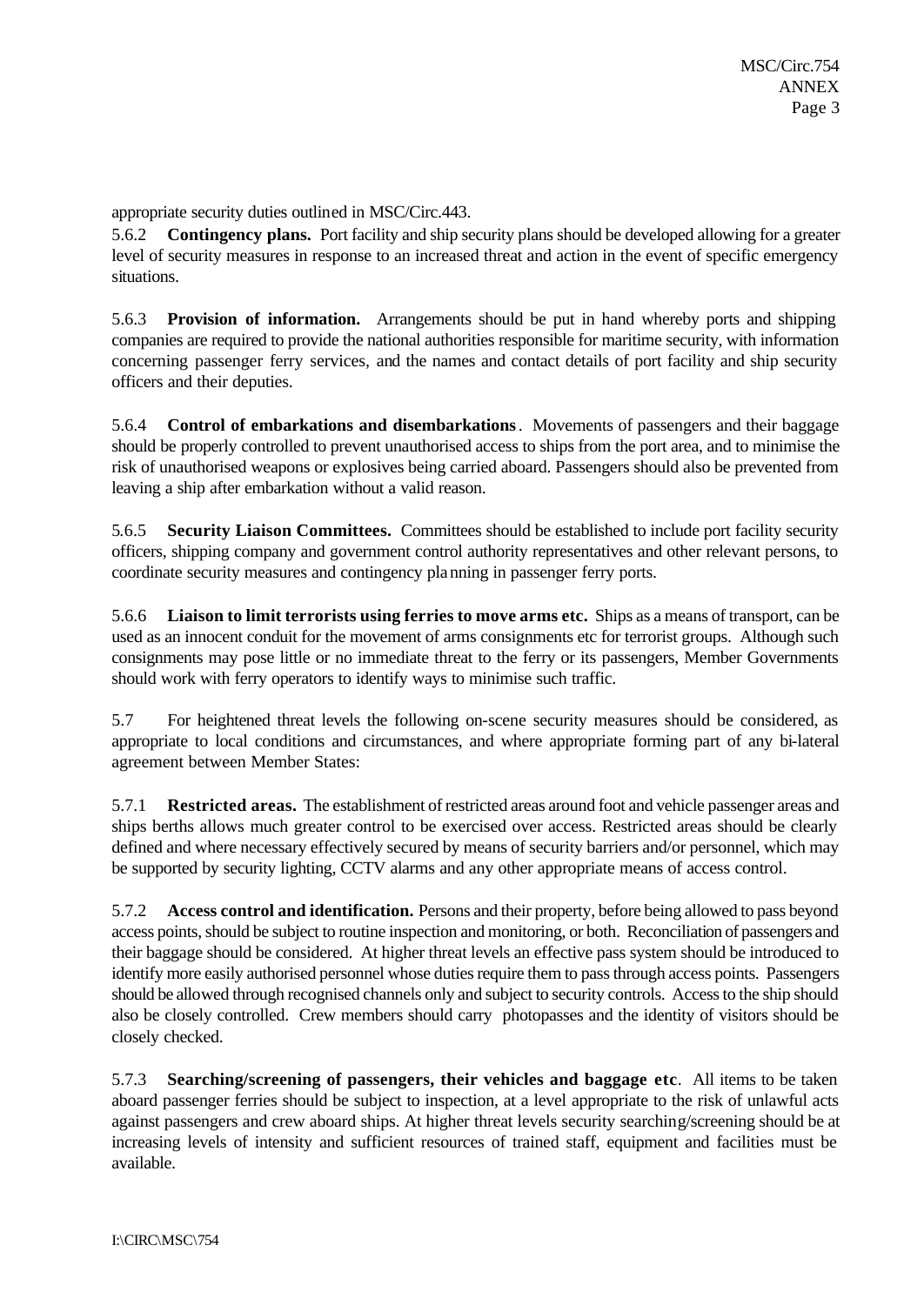appropriate security duties outlined in MSC/Circ.443.

5.6.2 **Contingency plans.** Port facility and ship security plans should be developed allowing for a greater level of security measures in response to an increased threat and action in the event of specific emergency situations.

5.6.3 **Provision of information.** Arrangements should be put in hand whereby ports and shipping companies are required to provide the national authorities responsible for maritime security, with information concerning passenger ferry services, and the names and contact details of port facility and ship security officers and their deputies.

5.6.4 **Control of embarkations and disembarkations**. Movements of passengers and their baggage should be properly controlled to prevent unauthorised access to ships from the port area, and to minimise the risk of unauthorised weapons or explosives being carried aboard. Passengers should also be prevented from leaving a ship after embarkation without a valid reason.

5.6.5 **Security Liaison Committees.** Committees should be established to include port facility security officers, shipping company and government control authority representatives and other relevant persons, to coordinate security measures and contingency planning in passenger ferry ports.

5.6.6 **Liaison to limit terrorists using ferries to move arms etc.** Ships as a means of transport, can be used as an innocent conduit for the movement of arms consignments etc for terrorist groups. Although such consignments may pose little or no immediate threat to the ferry or its passengers, Member Governments should work with ferry operators to identify ways to minimise such traffic.

5.7 For heightened threat levels the following on-scene security measures should be considered, as appropriate to local conditions and circumstances, and where appropriate forming part of any bi-lateral agreement between Member States:

5.7.1 **Restricted areas.** The establishment of restricted areas around foot and vehicle passenger areas and ships berths allows much greater control to be exercised over access. Restricted areas should be clearly defined and where necessary effectively secured by means of security barriers and/or personnel, which may be supported by security lighting, CCTV alarms and any other appropriate means of access control.

5.7.2 **Access control and identification.** Persons and their property, before being allowed to pass beyond access points, should be subject to routine inspection and monitoring, or both. Reconciliation of passengers and their baggage should be considered. At higher threat levels an effective pass system should be introduced to identify more easily authorised personnel whose duties require them to pass through access points. Passengers should be allowed through recognised channels only and subject to security controls. Access to the ship should also be closely controlled. Crew members should carry photopasses and the identity of visitors should be closely checked.

5.7.3 **Searching/screening of passengers, their vehicles and baggage etc**. All items to be taken aboard passenger ferries should be subject to inspection, at a level appropriate to the risk of unlawful acts against passengers and crew aboard ships. At higher threat levels security searching/screening should be at increasing levels of intensity and sufficient resources of trained staff, equipment and facilities must be available.